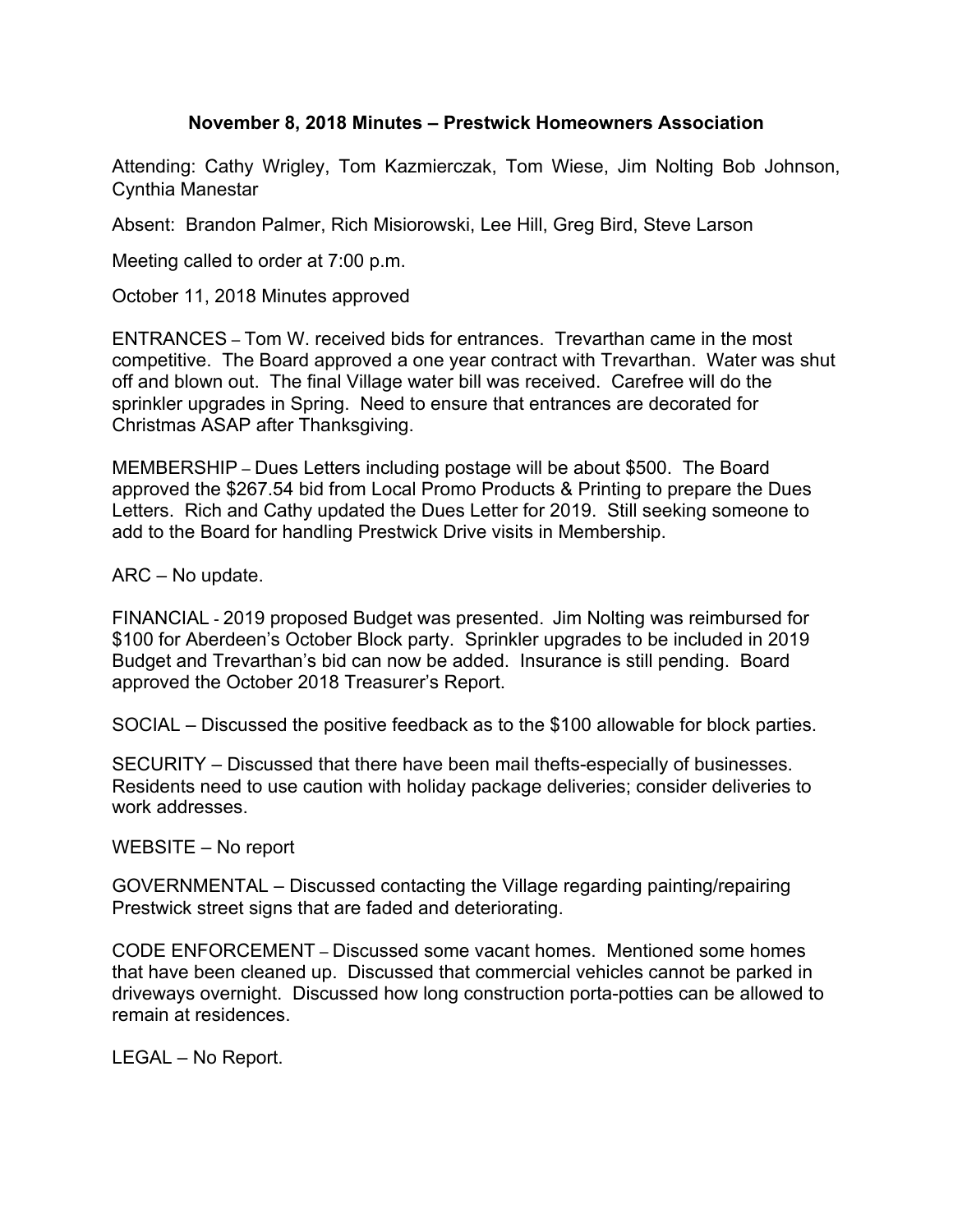## **November 8, 2018 Minutes – Prestwick Homeowners Association**

Attending: Cathy Wrigley, Tom Kazmierczak, Tom Wiese, Jim Nolting Bob Johnson, Cynthia Manestar

Absent: Brandon Palmer, Rich Misiorowski, Lee Hill, Greg Bird, Steve Larson

Meeting called to order at 7:00 p.m.

October 11, 2018 Minutes approved

ENTRANCES – Tom W. received bids for entrances. Trevarthan came in the most competitive. The Board approved a one year contract with Trevarthan. Water was shut off and blown out. The final Village water bill was received. Carefree will do the sprinkler upgrades in Spring. Need to ensure that entrances are decorated for Christmas ASAP after Thanksgiving.

MEMBERSHIP – Dues Letters including postage will be about \$500. The Board approved the \$267.54 bid from Local Promo Products & Printing to prepare the Dues Letters. Rich and Cathy updated the Dues Letter for 2019. Still seeking someone to add to the Board for handling Prestwick Drive visits in Membership.

ARC – No update.

FINANCIAL - 2019 proposed Budget was presented. Jim Nolting was reimbursed for \$100 for Aberdeen's October Block party. Sprinkler upgrades to be included in 2019 Budget and Trevarthan's bid can now be added. Insurance is still pending. Board approved the October 2018 Treasurer's Report.

SOCIAL – Discussed the positive feedback as to the \$100 allowable for block parties.

SECURITY – Discussed that there have been mail thefts-especially of businesses. Residents need to use caution with holiday package deliveries; consider deliveries to work addresses.

WEBSITE – No report

GOVERNMENTAL – Discussed contacting the Village regarding painting/repairing Prestwick street signs that are faded and deteriorating.

CODE ENFORCEMENT – Discussed some vacant homes. Mentioned some homes that have been cleaned up. Discussed that commercial vehicles cannot be parked in driveways overnight. Discussed how long construction porta-potties can be allowed to remain at residences.

LEGAL – No Report.